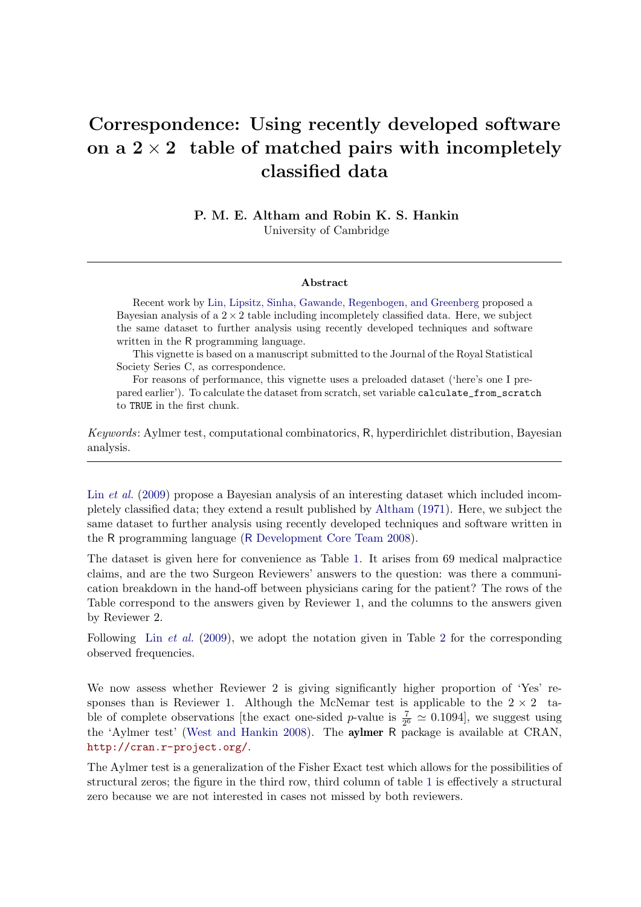# Correspondence: Using recently developed software on a  $2 \times 2$  table of matched pairs with incompletely classified data

P. M. E. Altham and Robin K. S. Hankin University of Cambridge

#### Abstract

Recent work by [Lin, Lipsitz, Sinha, Gawande, Regenbogen, and Greenberg](#page-5-0) proposed a Bayesian analysis of a  $2 \times 2$  table including incompletely classified data. Here, we subject the same dataset to further analysis using recently developed techniques and software written in the R programming language.

This vignette is based on a manuscript submitted to the Journal of the Royal Statistical Society Series C, as correspondence.

For reasons of performance, this vignette uses a preloaded dataset ('here's one I prepared earlier'). To calculate the dataset from scratch, set variable calculate\_from\_scratch to TRUE in the first chunk.

*Keywords*: Aylmer test, computational combinatorics, R, hyperdirichlet distribution, Bayesian analysis.

Lin *[et al.](#page-5-0)* [\(2009\)](#page-5-0) propose a Bayesian analysis of an interesting dataset which included incompletely classified data; they extend a result published by [Altham](#page-4-0) [\(1971\)](#page-4-0). Here, we subject the same dataset to further analysis using recently developed techniques and software written in the R programming language (R [Development Core Team 2008\)](#page-5-1).

The dataset is given here for convenience as Table [1.](#page-1-0) It arises from 69 medical malpractice claims, and are the two Surgeon Reviewers' answers to the question: was there a communication breakdown in the hand-off between physicians caring for the patient? The rows of the Table correspond to the answers given by Reviewer 1, and the columns to the answers given by Reviewer 2.

Following Lin *[et al.](#page-5-0)* [\(2009\)](#page-5-0), we adopt the notation given in Table [2](#page-1-1) for the corresponding observed frequencies.

We now assess whether Reviewer 2 is giving significantly higher proportion of 'Yes' responses than is Reviewer 1. Although the McNemar test is applicable to the  $2 \times 2$  table of complete observations [the exact one-sided p-value is  $\frac{7}{2^6} \approx 0.1094$ ], we suggest using the 'Aylmer test' [\(West and Hankin 2008\)](#page-5-2). The aylmer R package is available at CRAN, <http://cran.r-project.org/>.

The Aylmer test is a generalization of the Fisher Exact test which allows for the possibilities of structural zeros; the figure in the third row, third column of table [1](#page-1-0) is effectively a structural zero because we are not interested in cases not missed by both reviewers.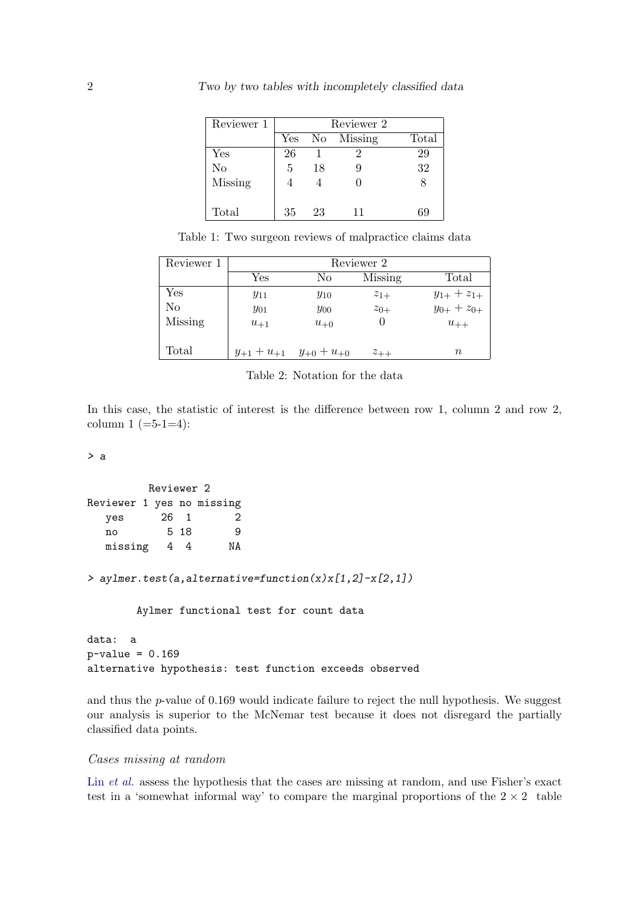| Reviewer 1     | Reviewer 2 |    |               |       |  |
|----------------|------------|----|---------------|-------|--|
|                | Yes        |    | No Missing    | Total |  |
| Yes            | 26         |    | $\mathcal{D}$ | 29    |  |
| N <sub>o</sub> | 5          | 18 | 9             | 32    |  |
| <b>Missing</b> |            |    |               |       |  |
| Total          | 35         | 23 | 11            | 69    |  |

<span id="page-1-0"></span>Table 1: Two surgeon reviews of malpractice claims data

| Reviewer 1     | Reviewer 2        |                   |          |                   |  |  |  |  |
|----------------|-------------------|-------------------|----------|-------------------|--|--|--|--|
|                | Yes               | No                | Missing  | Total             |  |  |  |  |
| Yes            | $y_{11}$          | $y_{10}$          | $z_{1+}$ | $y_{1+} + z_{1+}$ |  |  |  |  |
| No             | $y_{01}$          | $y_{00}$          | $z_{0+}$ | $y_{0+} + z_{0+}$ |  |  |  |  |
| <b>Missing</b> | $u_{+1}$          | $u_{+0}$          |          | $u_{++}$          |  |  |  |  |
|                |                   |                   |          |                   |  |  |  |  |
| Total          | $y_{+1} + u_{+1}$ | $y_{+0} + u_{+0}$ | $z_{++}$ | $\, n$            |  |  |  |  |

<span id="page-1-1"></span>Table 2: Notation for the data

In this case, the statistic of interest is the difference between row 1, column 2 and row 2, column  $1 (=5-1=4)$ :

> a

```
Reviewer 2
Reviewer 1 yes no missing
  yes 26 1 2
  no 5 18 9
  missing 4 4 NA
```
> aylmer.test(a,alternative=function(x)x[1,2]-x[2,1])

Aylmer functional test for count data

```
data: a
p-value = 0.169
alternative hypothesis: test function exceeds observed
```
and thus the p-value of 0.169 would indicate failure to reject the null hypothesis. We suggest our analysis is superior to the McNemar test because it does not disregard the partially classified data points.

### Cases missing at random

Lin *[et al.](#page-5-0)* assess the hypothesis that the cases are missing at random, and use Fisher's exact test in a 'somewhat informal way' to compare the marginal proportions of the  $2 \times 2$  table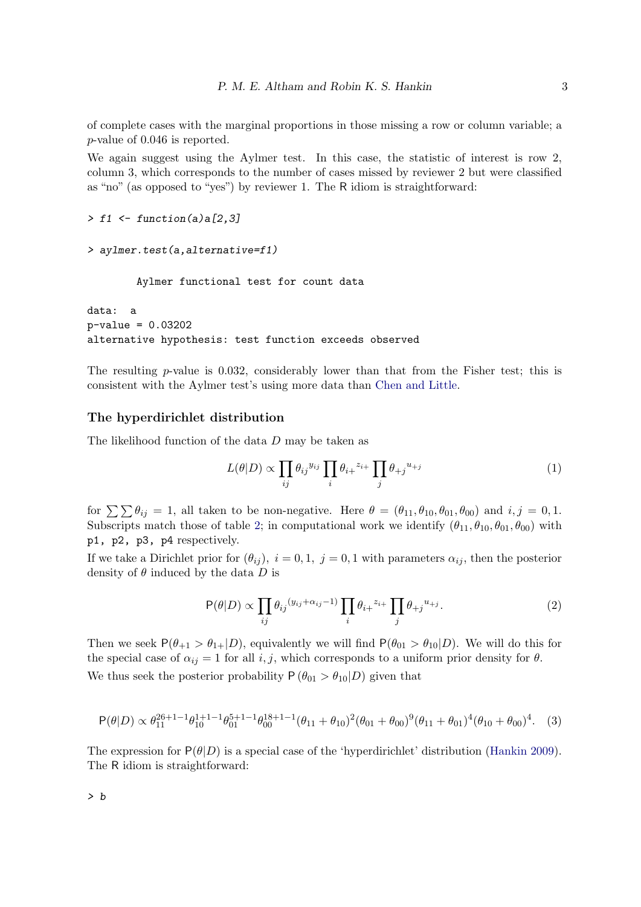of complete cases with the marginal proportions in those missing a row or column variable; a p-value of 0.046 is reported.

We again suggest using the Aylmer test. In this case, the statistic of interest is row 2, column 3, which corresponds to the number of cases missed by reviewer 2 but were classified as "no" (as opposed to "yes") by reviewer 1. The R idiom is straightforward:

```
> f1 \leftarrow function(a)a[2,3]
```

```
> aylmer.test(a,alternative=f1)
```
Aylmer functional test for count data

data: a p-value = 0.03202 alternative hypothesis: test function exceeds observed

The resulting  $p$ -value is 0.032, considerably lower than that from the Fisher test; this is consistent with the Aylmer test's using more data than [Chen and Little.](#page-4-1)

#### The hyperdirichlet distribution

The likelihood function of the data D may be taken as

$$
L(\theta|D) \propto \prod_{ij} \theta_{ij}^{y_{ij}} \prod_i \theta_{i+}^{z_{i+}} \prod_j \theta_{+j}^{u_{+j}} \tag{1}
$$

for  $\sum \mathcal{D}_{ij} = 1$ , all taken to be non-negative. Here  $\theta = (\theta_{11}, \theta_{10}, \theta_{01}, \theta_{00})$  and  $i, j = 0, 1$ . Subscripts match those of table [2;](#page-1-1) in computational work we identify  $(\theta_{11}, \theta_{10}, \theta_{01}, \theta_{00})$  with p1, p2, p3, p4 respectively.

If we take a Dirichlet prior for  $(\theta_{ij})$ ,  $i = 0, 1, j = 0, 1$  with parameters  $\alpha_{ij}$ , then the posterior density of  $\theta$  induced by the data D is

$$
\mathsf{P}(\theta|D) \propto \prod_{ij} \theta_{ij}^{(y_{ij} + \alpha_{ij} - 1)} \prod_i \theta_{i+}^{z_{i+}} \prod_j \theta_{+j}^{u+j}.
$$
 (2)

Then we seek  $P(\theta_{+1} > \theta_{1+} | D)$ , equivalently we will find  $P(\theta_{01} > \theta_{10} | D)$ . We will do this for the special case of  $\alpha_{ij} = 1$  for all i, j, which corresponds to a uniform prior density for  $\theta$ . We thus seek the posterior probability  $P(\theta_{01} > \theta_{10}|D)$  given that

<span id="page-2-0"></span>
$$
\mathsf{P}(\theta|D) \propto \theta_{11}^{26+1} \theta_{10}^{1+1} \theta_{01}^{5+1} \theta_{00}^{18+1} \theta_{10}^{1} + \theta_{10} \theta_{11}^{2} \theta_{01} + \theta_{00} \theta_{11}^{9} \theta_{10} + \theta_{01} \theta_{10}^{4} \theta_{10} + \theta_{00} \theta_{11}^{4}.
$$
 (3)

The expression for  $P(\theta|D)$  is a special case of the 'hyperdirichlet' distribution [\(Hankin 2009\)](#page-5-3). The R idiom is straightforward: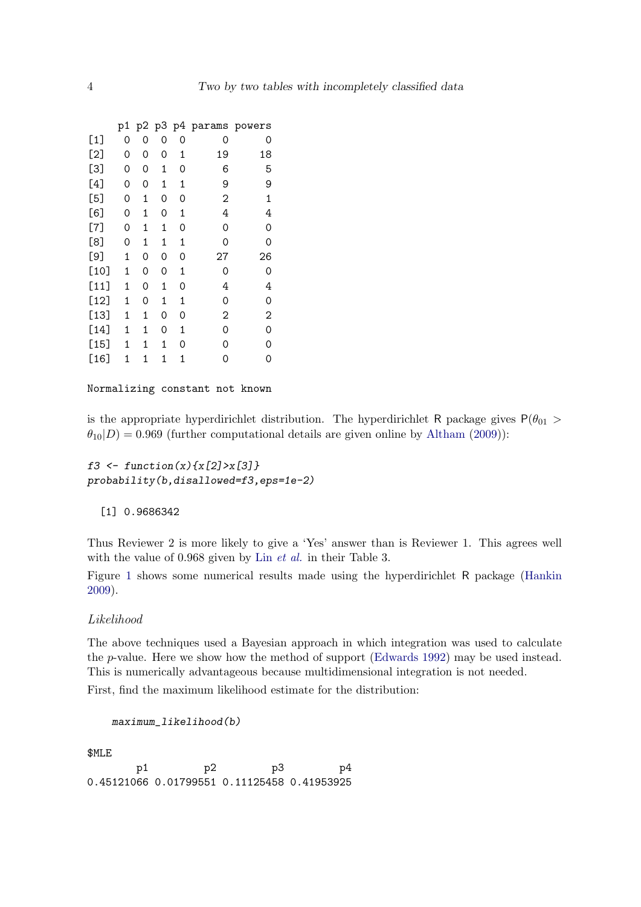|        | p1 |   |   |   | p2 p3 p4 params | powers |
|--------|----|---|---|---|-----------------|--------|
| $[1]$  | 0  | 0 | 0 | 0 | 0               | 0      |
| [2]    | 0  | 0 | 0 | 1 | 19              | 18     |
| [3]    | 0  | 0 | 1 | 0 | 6               | 5      |
| [4]    | 0  | 0 | 1 | 1 | 9               | 9      |
| [5]    | 0  | 1 | 0 | 0 | 2               | 1      |
| [6]    | 0  | 1 | 0 | 1 | 4               | 4      |
| $[7]$  | 0  | 1 | 1 | 0 | 0               | 0      |
| [8]    | 0  | 1 | 1 | 1 | 0               | 0      |
| [9]    | 1  | 0 | 0 | 0 | 27              | 26     |
| $[10]$ | 1  | 0 | 0 | 1 | 0               | 0      |
| $[11]$ | 1  | 0 | 1 | 0 | 4               | 4      |
| $[12]$ | 1  | 0 | 1 | 1 | 0               | 0      |
| $[13]$ | 1  | 1 | 0 | 0 | 2               | 2      |
| $[14]$ | 1  | 1 | 0 | 1 | 0               | 0      |
| $[15]$ | 1  | 1 | 1 | 0 | 0               | 0      |
| $[16]$ | 1  | 1 | 1 | 1 | 0               | 0      |

Normalizing constant not known

is the appropriate hyperdirichlet distribution. The hyperdirichlet R package gives  $P(\theta_{01} >$  $\theta_{10}|D\rangle = 0.969$  (further computational details are given online by [Altham](#page-4-2) [\(2009\)](#page-4-2)):

f3 <- function(x){x[2]>x[3]} probability(b,disallowed=f3,eps=1e-2)

[1] 0.9686342

Thus Reviewer 2 is more likely to give a 'Yes' answer than is Reviewer 1. This agrees well with the value of 0.968 given by Lin *[et al.](#page-5-0)* in their Table 3.

Figure [1](#page-6-0) shows some numerical results made using the hyperdirichlet R package [\(Hankin](#page-5-3) [2009\)](#page-5-3).

#### Likelihood

The above techniques used a Bayesian approach in which integration was used to calculate the p-value. Here we show how the method of support [\(Edwards 1992\)](#page-5-4) may be used instead. This is numerically advantageous because multidimensional integration is not needed. First, find the maximum likelihood estimate for the distribution:

```
maximum_likelihood(b)
```
\$MLE

p1 p2 p3 p4 0.45121066 0.01799551 0.11125458 0.41953925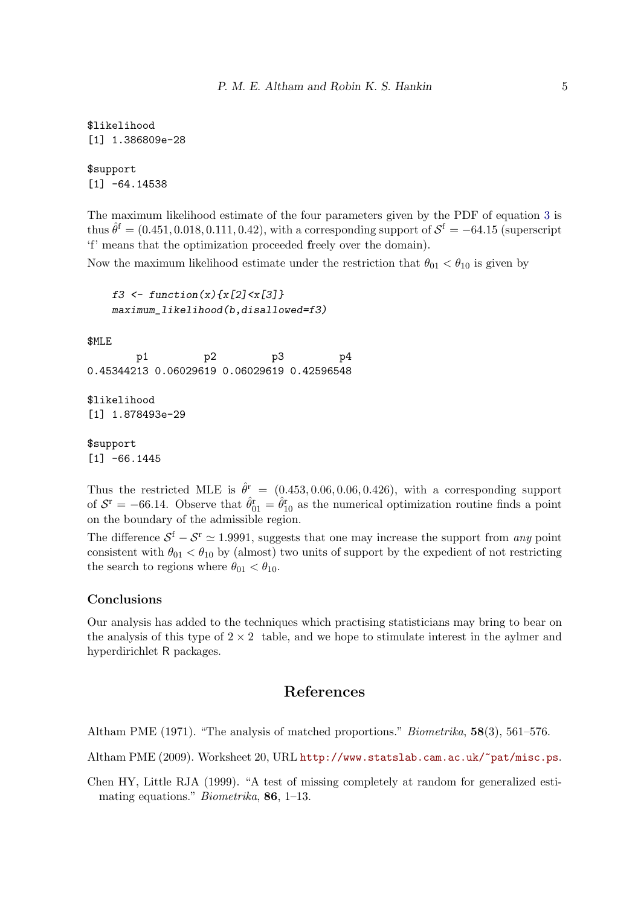\$likelihood [1] 1.386809e-28

\$support  $[1] -64.14538$ 

The maximum likelihood estimate of the four parameters given by the PDF of equation [3](#page-2-0) is thus  $\hat{\theta}^{\text{f}} = (0.451, 0.018, 0.111, 0.42)$ , with a corresponding support of  $\mathcal{S}^{\text{f}} = -64.15$  (superscript 'f' means that the optimization proceeded freely over the domain).

Now the maximum likelihood estimate under the restriction that  $\theta_{01} < \theta_{10}$  is given by

```
f3 <- function(x){x[2] < x[3] }
maximum_likelihood(b,disallowed=f3)
```
\$MLE

p1 p2 p3 p4 0.45344213 0.06029619 0.06029619 0.42596548

\$likelihood [1] 1.878493e-29

\$support  $[1] -66.1445$ 

Thus the restricted MLE is  $\hat{\theta}^r = (0.453, 0.06, 0.06, 0.426)$ , with a corresponding support of  $S<sup>r</sup> = -66.14$ . Observe that  $\hat{\theta}_{01}^r = \hat{\theta}_{10}^r$  as the numerical optimization routine finds a point on the boundary of the admissible region.

The difference  $S^f - S^r \simeq 1.9991$ , suggests that one may increase the support from *any* point consistent with  $\theta_{01} < \theta_{10}$  by (almost) two units of support by the expedient of not restricting the search to regions where  $\theta_{01} < \theta_{10}$ .

#### Conclusions

Our analysis has added to the techniques which practising statisticians may bring to bear on the analysis of this type of  $2 \times 2$  table, and we hope to stimulate interest in the aylmer and hyperdirichlet R packages.

## References

<span id="page-4-0"></span>Altham PME (1971). "The analysis of matched proportions." *Biometrika*, 58(3), 561–576.

<span id="page-4-2"></span>Altham PME (2009). Worksheet 20, URL <http://www.statslab.cam.ac.uk/~pat/misc.ps>.

<span id="page-4-1"></span>Chen HY, Little RJA (1999). "A test of missing completely at random for generalized estimating equations." *Biometrika*, 86, 1–13.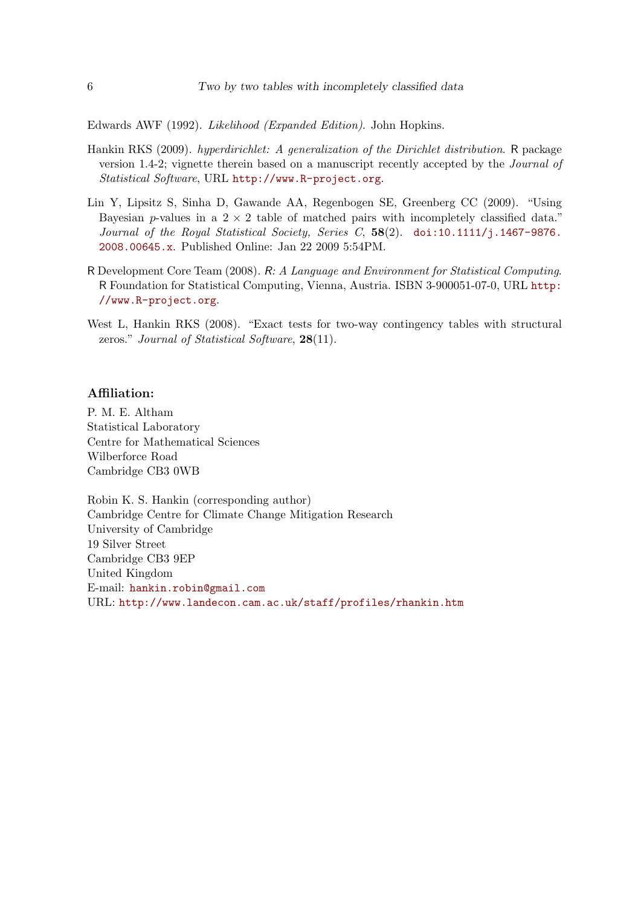<span id="page-5-4"></span>Edwards AWF (1992). *Likelihood (Expanded Edition)*. John Hopkins.

- <span id="page-5-3"></span>Hankin RKS (2009). *hyperdirichlet: A generalization of the Dirichlet distribution*. R package version 1.4-2; vignette therein based on a manuscript recently accepted by the *Journal of Statistical Software*, URL <http://www.R-project.org>.
- <span id="page-5-0"></span>Lin Y, Lipsitz S, Sinha D, Gawande AA, Regenbogen SE, Greenberg CC (2009). "Using Bayesian p-values in a  $2 \times 2$  table of matched pairs with incompletely classified data." *Journal of the Royal Statistical Society, Series C*, 58(2). [doi:10.1111/j.1467-9876.](http://dx.doi.org/10.1111/j.1467-9876.2008.00645.x) [2008.00645.x](http://dx.doi.org/10.1111/j.1467-9876.2008.00645.x). Published Online: Jan 22 2009 5:54PM.
- <span id="page-5-1"></span>R Development Core Team (2008). R*: A Language and Environment for Statistical Computing*. R Foundation for Statistical Computing, Vienna, Austria. ISBN 3-900051-07-0, URL [http:](http://www.R-project.org) [//www.R-project.org](http://www.R-project.org).
- <span id="page-5-2"></span>West L, Hankin RKS (2008). "Exact tests for two-way contingency tables with structural zeros." *Journal of Statistical Software*, 28(11).

#### Affiliation:

P. M. E. Altham Statistical Laboratory Centre for Mathematical Sciences Wilberforce Road Cambridge CB3 0WB

Robin K. S. Hankin (corresponding author) Cambridge Centre for Climate Change Mitigation Research University of Cambridge 19 Silver Street Cambridge CB3 9EP United Kingdom E-mail: [hankin.robin@gmail.com](mailto:hankin.robin@gmail.com) URL: <http://www.landecon.cam.ac.uk/staff/profiles/rhankin.htm>